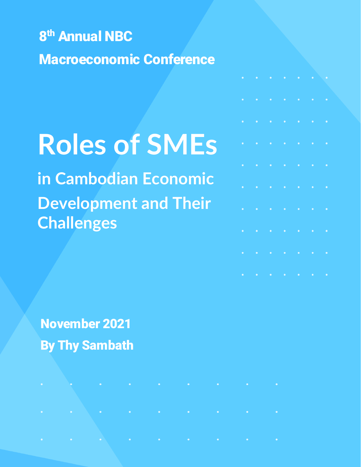8<sup>th</sup> Annual NBC Macroeconomic Conference

# **Roles of SMEs**

**in Cambodian Economic Development and Their Challenges**

the company of the company of the

November 2021 By Thy Sambath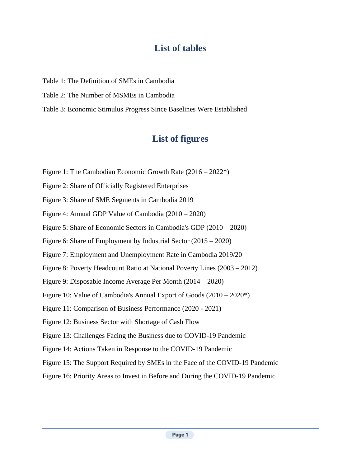# **List of tables**

- Table 1: The Definition of SMEs in Cambodia
- Table 2: The Number of MSMEs in Cambodia
- Table 3: Economic Stimulus Progress Since Baselines Were Established

# **List of figures**

- Figure 1: The Cambodian Economic Growth Rate (2016 2022\*)
- Figure 2: Share of Officially Registered Enterprises
- Figure 3: Share of SME Segments in Cambodia 2019
- Figure 4: Annual GDP Value of Cambodia (2010 2020)
- Figure 5: Share of Economic Sectors in Cambodia's GDP (2010 2020)
- Figure 6: Share of Employment by Industrial Sector (2015 2020)
- Figure 7: Employment and Unemployment Rate in Cambodia 2019/20
- Figure 8: Poverty Headcount Ratio at National Poverty Lines (2003 2012)
- Figure 9: Disposable Income Average Per Month (2014 2020)
- Figure 10: Value of Cambodia's Annual Export of Goods (2010 2020\*)
- Figure 11: Comparison of Business Performance (2020 2021)
- Figure 12: Business Sector with Shortage of Cash Flow
- Figure 13: Challenges Facing the Business due to COVID-19 Pandemic
- Figure 14: Actions Taken in Response to the COVID-19 Pandemic
- Figure 15: The Support Required by SMEs in the Face of the COVID-19 Pandemic
- Figure 16: Priority Areas to Invest in Before and During the COVID-19 Pandemic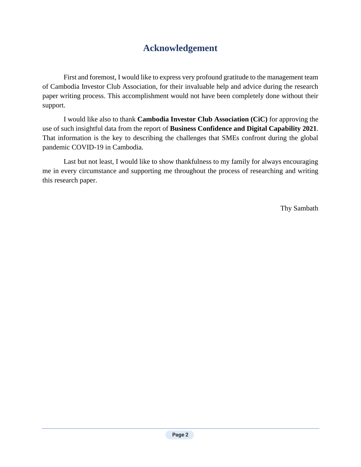# **Acknowledgement**

First and foremost, I would like to express very profound gratitude to the management team of Cambodia Investor Club Association, for their invaluable help and advice during the research paper writing process. This accomplishment would not have been completely done without their support.

I would like also to thank **Cambodia Investor Club Association (CiC)** for approving the use of such insightful data from the report of **Business Confidence and Digital Capability 2021**. That information is the key to describing the challenges that SMEs confront during the global pandemic COVID-19 in Cambodia.

Last but not least, I would like to show thankfulness to my family for always encouraging me in every circumstance and supporting me throughout the process of researching and writing this research paper.

Thy Sambath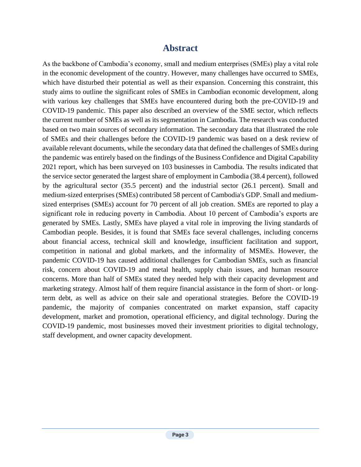# **Abstract**

As the backbone of Cambodia's economy, small and medium enterprises (SMEs) play a vital role in the economic development of the country. However, many challenges have occurred to SMEs, which have disturbed their potential as well as their expansion. Concerning this constraint, this study aims to outline the significant roles of SMEs in Cambodian economic development, along with various key challenges that SMEs have encountered during both the pre-COVID-19 and COVID-19 pandemic. This paper also described an overview of the SME sector, which reflects the current number of SMEs as well as its segmentation in Cambodia. The research was conducted based on two main sources of secondary information. The secondary data that illustrated the role of SMEs and their challenges before the COVID-19 pandemic was based on a desk review of available relevant documents, while the secondary data that defined the challenges of SMEs during the pandemic was entirely based on the findings of the Business Confidence and Digital Capability 2021 report, which has been surveyed on 103 businesses in Cambodia. The results indicated that the service sector generated the largest share of employment in Cambodia (38.4 percent), followed by the agricultural sector (35.5 percent) and the industrial sector (26.1 percent). Small and medium-sized enterprises (SMEs) contributed 58 percent of Cambodia's GDP. Small and mediumsized enterprises (SMEs) account for 70 percent of all job creation. SMEs are reported to play a significant role in reducing poverty in Cambodia. About 10 percent of Cambodia's exports are generated by SMEs. Lastly, SMEs have played a vital role in improving the living standards of Cambodian people. Besides, it is found that SMEs face several challenges, including concerns about financial access, technical skill and knowledge, insufficient facilitation and support, competition in national and global markets, and the informality of MSMEs. However, the pandemic COVID-19 has caused additional challenges for Cambodian SMEs, such as financial risk, concern about COVID-19 and metal health, supply chain issues, and human resource concerns. More than half of SMEs stated they needed help with their capacity development and marketing strategy. Almost half of them require financial assistance in the form of short- or longterm debt, as well as advice on their sale and operational strategies. Before the COVID-19 pandemic, the majority of companies concentrated on market expansion, staff capacity development, market and promotion, operational efficiency, and digital technology. During the COVID-19 pandemic, most businesses moved their investment priorities to digital technology, staff development, and owner capacity development.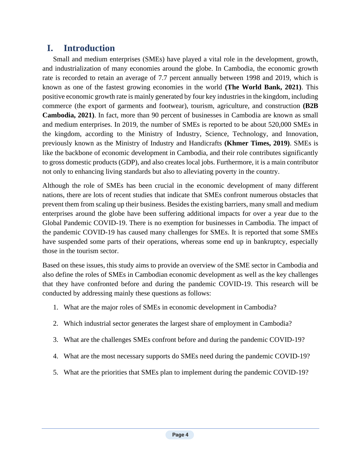# **I. Introduction**

Small and medium enterprises (SMEs) have played a vital role in the development, growth, and industrialization of many economies around the globe. In Cambodia, the economic growth rate is recorded to retain an average of 7.7 percent annually between 1998 and 2019, which is known as one of the fastest growing economies in the world **(The World Bank, 2021)**. This positive economic growth rate is mainly generated by four key industries in the kingdom, including commerce (the export of garments and footwear), tourism, agriculture, and construction **(B2B Cambodia, 2021)**. In fact, more than 90 percent of businesses in Cambodia are known as small and medium enterprises. In 2019, the number of SMEs is reported to be about 520,000 SMEs in the kingdom, according to the Ministry of Industry, Science, Technology, and Innovation, previously known as the Ministry of Industry and Handicrafts **(Khmer Times, 2019)**. SMEs is like the backbone of economic development in Cambodia, and their role contributes significantly to gross domestic products (GDP), and also creates local jobs. Furthermore, it is a main contributor not only to enhancing living standards but also to alleviating poverty in the country.

Although the role of SMEs has been crucial in the economic development of many different nations, there are lots of recent studies that indicate that SMEs confront numerous obstacles that prevent them from scaling up their business. Besides the existing barriers, many small and medium enterprises around the globe have been suffering additional impacts for over a year due to the Global Pandemic COVID-19. There is no exemption for businesses in Cambodia. The impact of the pandemic COVID-19 has caused many challenges for SMEs. It is reported that some SMEs have suspended some parts of their operations, whereas some end up in bankruptcy, especially those in the tourism sector.

Based on these issues, this study aims to provide an overview of the SME sector in Cambodia and also define the roles of SMEs in Cambodian economic development as well as the key challenges that they have confronted before and during the pandemic COVID-19. This research will be conducted by addressing mainly these questions as follows:

- 1. What are the major roles of SMEs in economic development in Cambodia?
- 2. Which industrial sector generates the largest share of employment in Cambodia?
- 3. What are the challenges SMEs confront before and during the pandemic COVID-19?
- 4. What are the most necessary supports do SMEs need during the pandemic COVID-19?
- 5. What are the priorities that SMEs plan to implement during the pandemic COVID-19?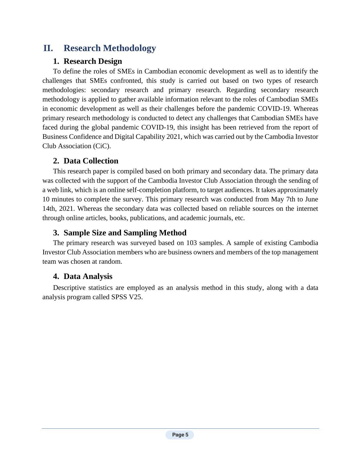# **II. Research Methodology**

# **1. Research Design**

To define the roles of SMEs in Cambodian economic development as well as to identify the challenges that SMEs confronted, this study is carried out based on two types of research methodologies: secondary research and primary research. Regarding secondary research methodology is applied to gather available information relevant to the roles of Cambodian SMEs in economic development as well as their challenges before the pandemic COVID-19. Whereas primary research methodology is conducted to detect any challenges that Cambodian SMEs have faced during the global pandemic COVID-19, this insight has been retrieved from the report of Business Confidence and Digital Capability 2021, which was carried out by the Cambodia Investor Club Association (CiC).

## **2. Data Collection**

This research paper is compiled based on both primary and secondary data. The primary data was collected with the support of the Cambodia Investor Club Association through the sending of a web link, which is an online self-completion platform, to target audiences. It takes approximately 10 minutes to complete the survey. This primary research was conducted from May 7th to June 14th, 2021. Whereas the secondary data was collected based on reliable sources on the internet through online articles, books, publications, and academic journals, etc.

# **3. Sample Size and Sampling Method**

The primary research was surveyed based on 103 samples. A sample of existing Cambodia Investor Club Association members who are business owners and members of the top management team was chosen at random.

# **4. Data Analysis**

Descriptive statistics are employed as an analysis method in this study, along with a data analysis program called SPSS V25.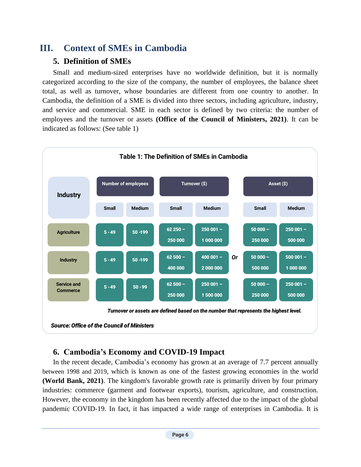# **III. Context of SMEs in Cambodia**

# **5. Definition of SMEs**

Small and medium-sized enterprises have no worldwide definition, but it is normally categorized according to the size of the company, the number of employees, the balance sheet total, as well as turnover, whose boundaries are different from one country to another. In Cambodia, the definition of a SME is divided into three sectors, including agriculture, industry, and service and commercial. SME in each sector is defined by two criteria: the number of employees and the turnover or assets **(Office of the Council of Ministers, 2021)**. It can be indicated as follows: (See table 1)



## **6. Cambodia's Economy and COVID-19 Impact**

In the recent decade, Cambodia's economy has grown at an average of 7.7 percent annually between 1998 and 2019, which is known as one of the fastest growing economies in the world **(World Bank, 2021)**. The kingdom's favorable growth rate is primarily driven by four primary industries: commerce (garment and footwear exports), tourism, agriculture, and construction. However, the economy in the kingdom has been recently affected due to the impact of the global pandemic COVID-19. In fact, it has impacted a wide range of enterprises in Cambodia. It is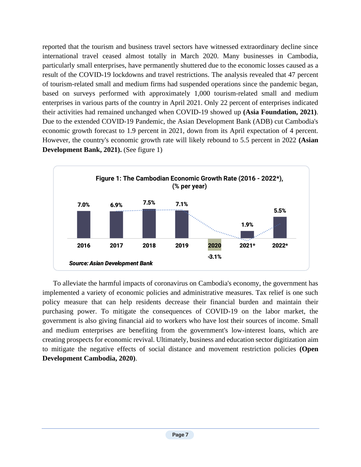reported that the tourism and business travel sectors have witnessed extraordinary decline since international travel ceased almost totally in March 2020. Many businesses in Cambodia, particularly small enterprises, have permanently shuttered due to the economic losses caused as a result of the COVID-19 lockdowns and travel restrictions. The analysis revealed that 47 percent of tourism-related small and medium firms had suspended operations since the pandemic began, based on surveys performed with approximately 1,000 tourism-related small and medium enterprises in various parts of the country in April 2021. Only 22 percent of enterprises indicated their activities had remained unchanged when COVID-19 showed up **(Asia Foundation, 2021)**. Due to the extended COVID-19 Pandemic, the Asian Development Bank (ADB) cut Cambodia's economic growth forecast to 1.9 percent in 2021, down from its April expectation of 4 percent. However, the country's economic growth rate will likely rebound to 5.5 percent in 2022 **(Asian Development Bank, 2021).** (See figure 1)



To alleviate the harmful impacts of coronavirus on Cambodia's economy, the government has implemented a variety of economic policies and administrative measures. Tax relief is one such policy measure that can help residents decrease their financial burden and maintain their purchasing power. To mitigate the consequences of COVID-19 on the labor market, the government is also giving financial aid to workers who have lost their sources of income. Small and medium enterprises are benefiting from the government's low-interest loans, which are creating prospects for economic revival. Ultimately, business and education sector digitization aim to mitigate the negative effects of social distance and movement restriction policies **(Open Development Cambodia, 2020)**.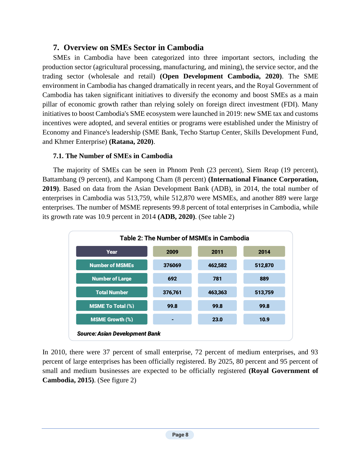#### **7. Overview on SMEs Sector in Cambodia**

SMEs in Cambodia have been categorized into three important sectors, including the production sector (agricultural processing, manufacturing, and mining), the service sector, and the trading sector (wholesale and retail) **(Open Development Cambodia, 2020)**. The SME environment in Cambodia has changed dramatically in recent years, and the Royal Government of Cambodia has taken significant initiatives to diversify the economy and boost SMEs as a main pillar of economic growth rather than relying solely on foreign direct investment (FDI). Many initiatives to boost Cambodia's SME ecosystem were launched in 2019: new SME tax and customs incentives were adopted, and several entities or programs were established under the Ministry of Economy and Finance's leadership (SME Bank, Techo Startup Center, Skills Development Fund, and Khmer Enterprise) **(Ratana, 2020)**.

#### **7.1. The Number of SMEs in Cambodia**

The majority of SMEs can be seen in Phnom Penh (23 percent), Siem Reap (19 percent), Battambang (9 percent), and Kampong Cham (8 percent) **(International Finance Corporation, 2019)**. Based on data from the Asian Development Bank (ADB), in 2014, the total number of enterprises in Cambodia was 513,759, while 512,870 were MSMEs, and another 889 were large enterprises. The number of MSME represents 99.8 percent of total enterprises in Cambodia, while its growth rate was 10.9 percent in 2014 **(ADB, 2020)**. (See table 2)



In 2010, there were 37 percent of small enterprise, 72 percent of medium enterprises, and 93 percent of large enterprises has been officially registered. By 2025, 80 percent and 95 percent of small and medium businesses are expected to be officially registered **(Royal Government of Cambodia, 2015)**. (See figure 2)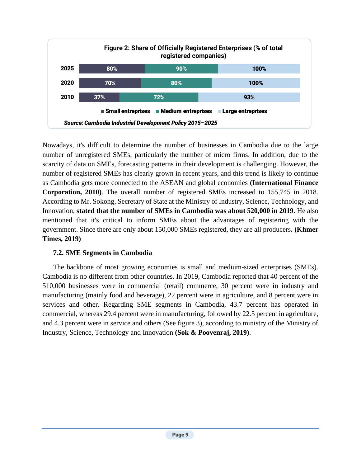

Nowadays, it's difficult to determine the number of businesses in Cambodia due to the large number of unregistered SMEs, particularly the number of micro firms. In addition, due to the scarcity of data on SMEs, forecasting patterns in their development is challenging. However, the number of registered SMEs has clearly grown in recent years, and this trend is likely to continue as Cambodia gets more connected to the ASEAN and global economies **(International Finance Corporation, 2010)**. The overall number of registered SMEs increased to 155,745 in 2018. According to Mr. Sokong, Secretary of State at the Ministry of Industry, Science, Technology, and Innovation, **stated that the number of SMEs in Cambodia was about 520,000 in 2019**. He also mentioned that it's critical to inform SMEs about the advantages of registering with the government. Since there are only about 150,000 SMEs registered, they are all producers**. (Khmer Times, 2019)**

#### **7.2. SME Segments in Cambodia**

The backbone of most growing economies is small and medium-sized enterprises (SMEs). Cambodia is no different from other countries. In 2019, Cambodia reported that 40 percent of the 510,000 businesses were in commercial (retail) commerce, 30 percent were in industry and manufacturing (mainly food and beverage), 22 percent were in agriculture, and 8 percent were in services and other. Regarding SME segments in Cambodia, 43.7 percent has operated in commercial, whereas 29.4 percent were in manufacturing, followed by 22.5 percent in agriculture, and 4.3 percent were in service and others (See figure 3), according to ministry of the Ministry of Industry, Science, Technology and Innovation **(Sok & Poovenraj, 2019)**.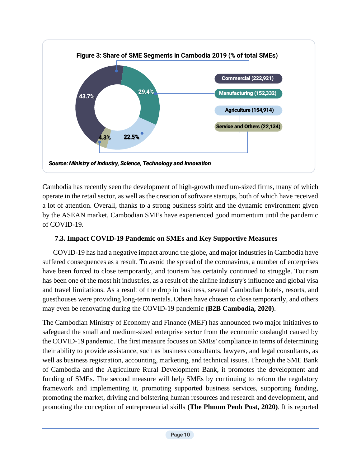

Cambodia has recently seen the development of high-growth medium-sized firms, many of which operate in the retail sector, as well as the creation of software startups, both of which have received a lot of attention. Overall, thanks to a strong business spirit and the dynamic environment given by the ASEAN market, Cambodian SMEs have experienced good momentum until the pandemic of COVID-19.

#### **7.3. Impact COVID-19 Pandemic on SMEs and Key Supportive Measures**

COVID-19 has had a negative impact around the globe, and major industries in Cambodia have suffered consequences as a result. To avoid the spread of the coronavirus, a number of enterprises have been forced to close temporarily, and tourism has certainly continued to struggle. Tourism has been one of the most hit industries, as a result of the airline industry's influence and global visa and travel limitations. As a result of the drop in business, several Cambodian hotels, resorts, and guesthouses were providing long-term rentals. Others have chosen to close temporarily, and others may even be renovating during the COVID-19 pandemic **(B2B Cambodia, 2020)**.

The Cambodian Ministry of Economy and Finance (MEF) has announced two major initiatives to safeguard the small and medium-sized enterprise sector from the economic onslaught caused by the COVID-19 pandemic. The first measure focuses on SMEs' compliance in terms of determining their ability to provide assistance, such as business consultants, lawyers, and legal consultants, as well as business registration, accounting, marketing, and technical issues. Through the SME Bank of Cambodia and the Agriculture Rural Development Bank, it promotes the development and funding of SMEs. The second measure will help SMEs by continuing to reform the regulatory framework and implementing it, promoting supported business services, supporting funding, promoting the market, driving and bolstering human resources and research and development, and promoting the conception of entrepreneurial skills **(The Phnom Penh Post, 2020)**. It is reported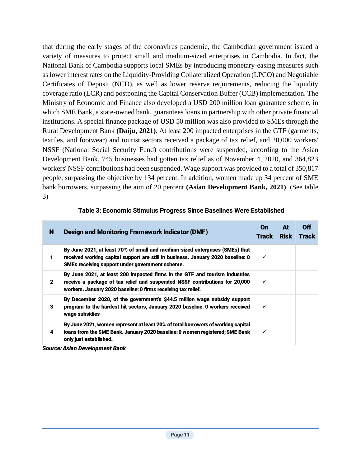that during the early stages of the coronavirus pandemic, the Cambodian government issued a variety of measures to protect small and medium-sized enterprises in Cambodia. In fact, the National Bank of Cambodia supports local SMEs by introducing monetary-easing measures such as lower interest rates on the Liquidity-Providing Collateralized Operation (LPCO) and Negotiable Certificates of Deposit (NCD), as well as lower reserve requirements, reducing the liquidity coverage ratio (LCR) and postponing the Capital Conservation Buffer (CCB) implementation. The Ministry of Economic and Finance also developed a USD 200 million loan guarantee scheme, in which SME Bank, a state-owned bank, guarantees loans in partnership with other private financial institutions. A special finance package of USD 50 million was also provided to SMEs through the Rural Development Bank **(Daiju, 2021)**. At least 200 impacted enterprises in the GTF (garments, textiles, and footwear) and tourist sectors received a package of tax relief, and 20,000 workers' NSSF (National Social Security Fund) contributions were suspended, according to the Asian Development Bank. 745 businesses had gotten tax relief as of November 4, 2020, and 364,823 workers' NSSF contributions had been suspended. Wage support was provided to a total of 350,817 people, surpassing the objective by 134 percent. In addition, women made up 34 percent of SME bank borrowers, surpassing the aim of 20 percent **(Asian Development Bank, 2021)**. (See table 3)

| N            | <b>Design and Monitoring Framework Indicator (DMF)</b>                                                                                                                                                                      | On<br><b>Track</b> | At<br><b>Risk</b> | Off<br><b>Track</b> |
|--------------|-----------------------------------------------------------------------------------------------------------------------------------------------------------------------------------------------------------------------------|--------------------|-------------------|---------------------|
| 1            | By June 2021, at least 70% of small and medium-sized enterprises (SMEs) that<br>received working capital support are still in business. January 2020 baseline: 0<br>SMEs receiving support under government scheme.         | ✓                  |                   |                     |
| $\mathbf{2}$ | By June 2021, at least 200 impacted firms in the GTF and tourism industries<br>receive a package of tax relief and suspended NSSF contributions for 20,000<br>workers. January 2020 baseline: 0 firms receiving tax relief. | ✓                  |                   |                     |
| 3            | By December 2020, of the government's \$44.5 million wage subsidy support<br>program to the hardest hit sectors, January 2020 baseline: 0 workers received<br>wage subsidies                                                | ✓                  |                   |                     |
| 4            | By June 2021, women represent at least 20% of total borrowers of working capital<br>loans from the SME Bank. January 2020 baseline: 0 women registered; SME Bank<br>only just established.                                  | ✓                  |                   |                     |

#### Table 3: Economic Stimulus Progress Since Baselines Were Established

*Source: Asian Development Bank*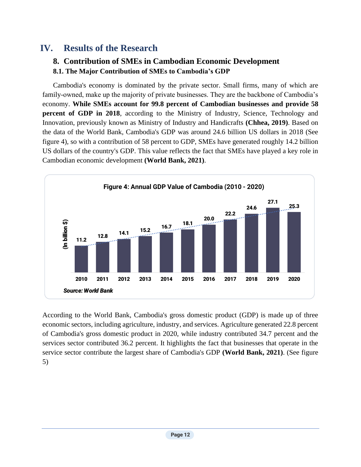# **IV. Results of the Research**

# **8. Contribution of SMEs in Cambodian Economic Development**

**8.1. The Major Contribution of SMEs to Cambodia's GDP**

Cambodia's economy is dominated by the private sector. Small firms, many of which are family-owned, make up the majority of private businesses. They are the backbone of Cambodia's economy. **While SMEs account for 99.8 percent of Cambodian businesses and provide 58 percent of GDP in 2018**, according to the Ministry of Industry, Science, Technology and Innovation, previously known as Ministry of Industry and Handicrafts **(Chhea, 2019)**. Based on the data of the World Bank, Cambodia's GDP was around 24.6 billion US dollars in 2018 (See figure 4), so with a contribution of 58 percent to GDP, SMEs have generated roughly 14.2 billion US dollars of the country's GDP. This value reflects the fact that SMEs have played a key role in Cambodian economic development **(World Bank, 2021)**.



According to the World Bank, Cambodia's gross domestic product (GDP) is made up of three economic sectors, including agriculture, industry, and services. Agriculture generated 22.8 percent of Cambodia's gross domestic product in 2020, while industry contributed 34.7 percent and the services sector contributed 36.2 percent. It highlights the fact that businesses that operate in the service sector contribute the largest share of Cambodia's GDP **(World Bank, 2021)**. (See figure 5)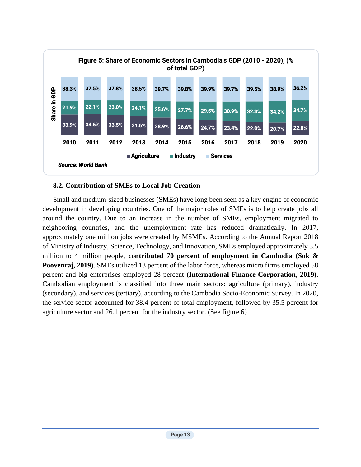

#### **8.2. Contribution of SMEs to Local Job Creation**

Small and medium-sized businesses (SMEs) have long been seen as a key engine of economic development in developing countries. One of the major roles of SMEs is to help create jobs all around the country. Due to an increase in the number of SMEs, employment migrated to neighboring countries, and the unemployment rate has reduced dramatically. In 2017, approximately one million jobs were created by MSMEs. According to the Annual Report 2018 of Ministry of Industry, Science, Technology, and Innovation, SMEs employed approximately 3.5 million to 4 million people, **contributed 70 percent of employment in Cambodia (Sok & Poovenraj, 2019)**. SMEs utilized 13 percent of the labor force, whereas micro firms employed 58 percent and big enterprises employed 28 percent **(International Finance Corporation, 2019)**. Cambodian employment is classified into three main sectors: agriculture (primary), industry (secondary), and services (tertiary), according to the Cambodia Socio-Economic Survey. In 2020, the service sector accounted for 38.4 percent of total employment, followed by 35.5 percent for agriculture sector and 26.1 percent for the industry sector. (See figure 6)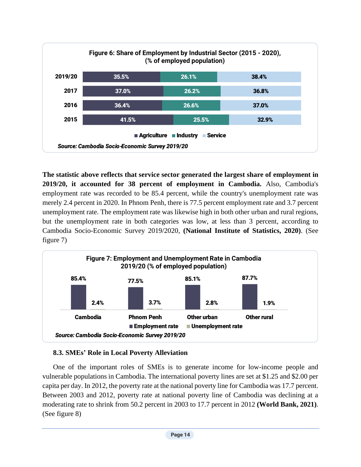

**The statistic above reflects that service sector generated the largest share of employment in 2019/20, it accounted for 38 percent of employment in Cambodia.** Also, Cambodia's employment rate was recorded to be 85.4 percent, while the country's unemployment rate was merely 2.4 percent in 2020. In Phnom Penh, there is 77.5 percent employment rate and 3.7 percent unemployment rate. The employment rate was likewise high in both other urban and rural regions, but the unemployment rate in both categories was low, at less than 3 percent, according to Cambodia Socio-Economic Survey 2019/2020, **(National Institute of Statistics, 2020)**. (See figure 7)



### **8.3. SMEs' Role in Local Poverty Alleviation**

One of the important roles of SMEs is to generate income for low-income people and vulnerable populations in Cambodia. The international poverty lines are set at \$1.25 and \$2.00 per capita per day. In 2012, the poverty rate at the national poverty line for Cambodia was 17.7 percent. Between 2003 and 2012, poverty rate at national poverty line of Cambodia was declining at a moderating rate to shrink from 50.2 percent in 2003 to 17.7 percent in 2012 **(World Bank, 2021)**. (See figure 8)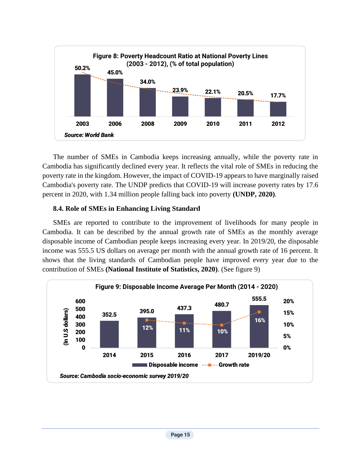

The number of SMEs in Cambodia keeps increasing annually, while the poverty rate in Cambodia has significantly declined every year. It reflects the vital role of SMEs in reducing the poverty rate in the kingdom. However, the impact of COVID-19 appears to have marginally raised Cambodia's poverty rate. The UNDP predicts that COVID-19 will increase poverty rates by 17.6 percent in 2020, with 1.34 million people falling back into poverty **(UNDP, 2020)**.

#### **8.4. Role of SMEs in Enhancing Living Standard**

SMEs are reported to contribute to the improvement of livelihoods for many people in Cambodia. It can be described by the annual growth rate of SMEs as the monthly average disposable income of Cambodian people keeps increasing every year. In 2019/20, the disposable income was 555.5 US dollars on average per month with the annual growth rate of 16 percent. It shows that the living standards of Cambodian people have improved every year due to the contribution of SMEs **(National Institute of Statistics, 2020)**. (See figure 9)

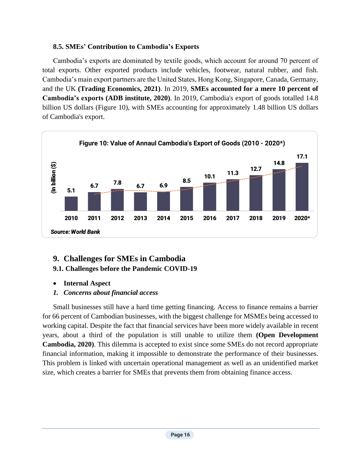#### **8.5. SMEs' Contribution to Cambodia's Exports**

Cambodia's exports are dominated by textile goods, which account for around 70 percent of total exports. Other exported products include vehicles, footwear, natural rubber, and fish. Cambodia's main export partners are the United States, Hong Kong, Singapore, Canada, Germany, and the UK **(Trading Economics, 2021)**. In 2019, **SMEs accounted for a mere 10 percent of Cambodia's exports (ADB institute, 2020)**. In 2019, Cambodia's export of goods totalled 14.8 billion US dollars (Figure 10), with SMEs accounting for approximately 1.48 billion US dollars of Cambodia's export.



#### **9. Challenges for SMEs in Cambodia 9.1. Challenges before the Pandemic COVID-19**

#### • **Internal Aspect**

#### *1. Concerns about financial access*

Small businesses still have a hard time getting financing. Access to finance remains a barrier for 66 percent of Cambodian businesses, with the biggest challenge for MSMEs being accessed to working capital. Despite the fact that financial services have been more widely available in recent years, about a third of the population is still unable to utilize them **(Open Development Cambodia, 2020)**. This dilemma is accepted to exist since some SMEs do not record appropriate financial information, making it impossible to demonstrate the performance of their businesses. This problem is linked with uncertain operational management as well as an unidentified market size, which creates a barrier for SMEs that prevents them from obtaining finance access.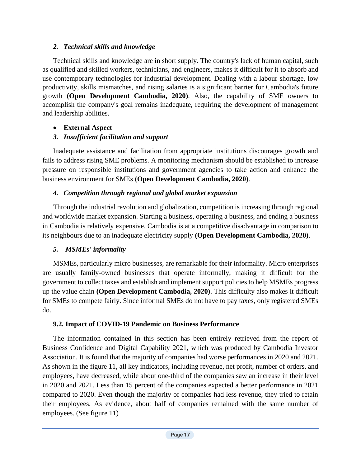#### *2. Technical skills and knowledge*

Technical skills and knowledge are in short supply. The country's lack of human capital, such as qualified and skilled workers, technicians, and engineers, makes it difficult for it to absorb and use contemporary technologies for industrial development. Dealing with a labour shortage, low productivity, skills mismatches, and rising salaries is a significant barrier for Cambodia's future growth **(Open Development Cambodia, 2020)**. Also, the capability of SME owners to accomplish the company's goal remains inadequate, requiring the development of management and leadership abilities.

#### • **External Aspect**

#### *3. Insufficient facilitation and support*

Inadequate assistance and facilitation from appropriate institutions discourages growth and fails to address rising SME problems. A monitoring mechanism should be established to increase pressure on responsible institutions and government agencies to take action and enhance the business environment for SMEs **(Open Development Cambodia, 2020)**.

#### *4. Competition through regional and global market expansion*

Through the industrial revolution and globalization, competition is increasing through regional and worldwide market expansion. Starting a business, operating a business, and ending a business in Cambodia is relatively expensive. Cambodia is at a competitive disadvantage in comparison to its neighbours due to an inadequate electricity supply **(Open Development Cambodia, 2020)**.

#### *5. MSMEs' informality*

MSMEs, particularly micro businesses, are remarkable for their informality. Micro enterprises are usually family-owned businesses that operate informally, making it difficult for the government to collect taxes and establish and implement support policies to help MSMEs progress up the value chain **(Open Development Cambodia, 2020)**. This difficulty also makes it difficult for SMEs to compete fairly. Since informal SMEs do not have to pay taxes, only registered SMEs do.

#### **9.2. Impact of COVID-19 Pandemic on Business Performance**

The information contained in this section has been entirely retrieved from the report of Business Confidence and Digital Capability 2021, which was produced by Cambodia Investor Association. It is found that the majority of companies had worse performances in 2020 and 2021. As shown in the figure 11, all key indicators, including revenue, net profit, number of orders, and employees, have decreased, while about one-third of the companies saw an increase in their level in 2020 and 2021. Less than 15 percent of the companies expected a better performance in 2021 compared to 2020. Even though the majority of companies had less revenue, they tried to retain their employees. As evidence, about half of companies remained with the same number of employees. (See figure 11)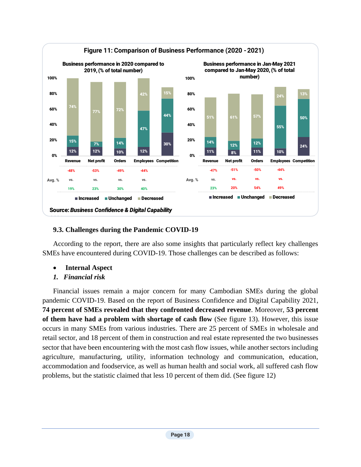

#### **9.3. Challenges during the Pandemic COVID-19**

According to the report, there are also some insights that particularly reflect key challenges SMEs have encountered during COVID-19. Those challenges can be described as follows:

- **Internal Aspect**
- *1. Financial risk*

Financial issues remain a major concern for many Cambodian SMEs during the global pandemic COVID-19. Based on the report of Business Confidence and Digital Capability 2021, **74 percent of SMEs revealed that they confronted decreased revenue**. Moreover, **53 percent of them have had a problem with shortage of cash flow** (See figure 13). However, this issue occurs in many SMEs from various industries. There are 25 percent of SMEs in wholesale and retail sector, and 18 percent of them in construction and real estate represented the two businesses sector that have been encountering with the most cash flow issues, while another sectors including agriculture, manufacturing, utility, information technology and communication, education, accommodation and foodservice, as well as human health and social work, all suffered cash flow problems, but the statistic claimed that less 10 percent of them did. (See figure 12)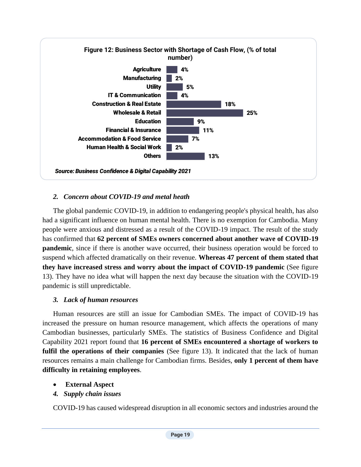

#### *2. Concern about COVID-19 and metal heath*

The global pandemic COVID-19, in addition to endangering people's physical health, has also had a significant influence on human mental health. There is no exemption for Cambodia. Many people were anxious and distressed as a result of the COVID-19 impact. The result of the study has confirmed that **62 percent of SMEs owners concerned about another wave of COVID-19 pandemic**, since if there is another wave occurred, their business operation would be forced to suspend which affected dramatically on their revenue. **Whereas 47 percent of them stated that they have increased stress and worry about the impact of COVID-19 pandemic** (See figure 13). They have no idea what will happen the next day because the situation with the COVID-19 pandemic is still unpredictable.

#### *3. Lack of human resources*

Human resources are still an issue for Cambodian SMEs. The impact of COVID-19 has increased the pressure on human resource management, which affects the operations of many Cambodian businesses, particularly SMEs. The statistics of Business Confidence and Digital Capability 2021 report found that **16 percent of SMEs encountered a shortage of workers to fulfil the operations of their companies** (See figure 13). It indicated that the lack of human resources remains a main challenge for Cambodian firms. Besides, **only 1 percent of them have difficulty in retaining employees**.

- **External Aspect**
- *4. Supply chain issues*

COVID-19 has caused widespread disruption in all economic sectors and industries around the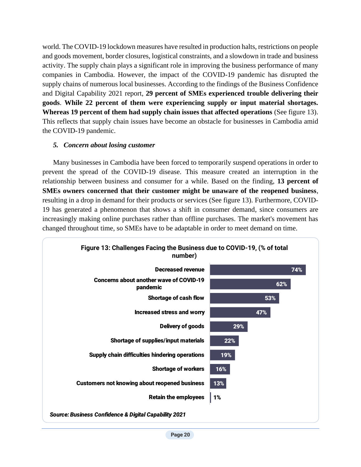world. The COVID-19 lockdown measures have resulted in production halts, restrictions on people and goods movement, border closures, logistical constraints, and a slowdown in trade and business activity. The supply chain plays a significant role in improving the business performance of many companies in Cambodia. However, the impact of the COVID-19 pandemic has disrupted the supply chains of numerous local businesses. According to the findings of the Business Confidence and Digital Capability 2021 report, **29 percent of SMEs experienced trouble delivering their goods**. **While 22 percent of them were experiencing supply or input material shortages. Whereas 19 percent of them had supply chain issues that affected operations** (See figure 13). This reflects that supply chain issues have become an obstacle for businesses in Cambodia amid the COVID-19 pandemic.

#### *5. Concern about losing customer*

Many businesses in Cambodia have been forced to temporarily suspend operations in order to prevent the spread of the COVID-19 disease. This measure created an interruption in the relationship between business and consumer for a while. Based on the finding, **13 percent of SMEs owners concerned that their customer might be unaware of the reopened business**, resulting in a drop in demand for their products or services (See figure 13). Furthermore, COVID-19 has generated a phenomenon that shows a shift in consumer demand, since consumers are increasingly making online purchases rather than offline purchases. The market's movement has changed throughout time, so SMEs have to be adaptable in order to meet demand on time.

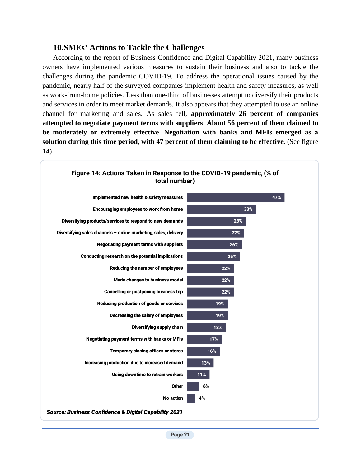#### **10.SMEs' Actions to Tackle the Challenges**

According to the report of Business Confidence and Digital Capability 2021, many business owners have implemented various measures to sustain their business and also to tackle the challenges during the pandemic COVID-19. To address the operational issues caused by the pandemic, nearly half of the surveyed companies implement health and safety measures, as well as work-from-home policies. Less than one-third of businesses attempt to diversify their products and services in order to meet market demands. It also appears that they attempted to use an online channel for marketing and sales. As sales fell, **approximately 26 percent of companies attempted to negotiate payment terms with suppliers**. **About 56 percent of them claimed to be moderately or extremely effective**. **Negotiation with banks and MFIs emerged as a solution during this time period, with 47 percent of them claiming to be effective**. (See figure 14)

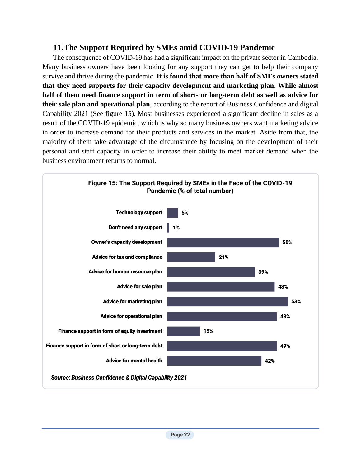#### **11.The Support Required by SMEs amid COVID-19 Pandemic**

The consequence of COVID-19 has had a significant impact on the private sector in Cambodia. Many business owners have been looking for any support they can get to help their company survive and thrive during the pandemic. **It is found that more than half of SMEs owners stated that they need supports for their capacity development and marketing plan**. **While almost half of them need finance support in term of short- or long-term debt as well as advice for their sale plan and operational plan**, according to the report of Business Confidence and digital Capability 2021 (See figure 15). Most businesses experienced a significant decline in sales as a result of the COVID-19 epidemic, which is why so many business owners want marketing advice in order to increase demand for their products and services in the market. Aside from that, the majority of them take advantage of the circumstance by focusing on the development of their personal and staff capacity in order to increase their ability to meet market demand when the business environment returns to normal.

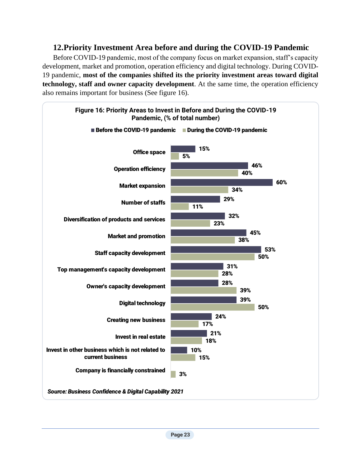## **12.Priority Investment Area before and during the COVID-19 Pandemic**

Before COVID-19 pandemic, most of the company focus on market expansion, staff's capacity development, market and promotion, operation efficiency and digital technology. During COVID-19 pandemic, **most of the companies shifted its the priority investment areas toward digital technology, staff and owner capacity development**. At the same time, the operation efficiency also remains important for business (See figure 16).

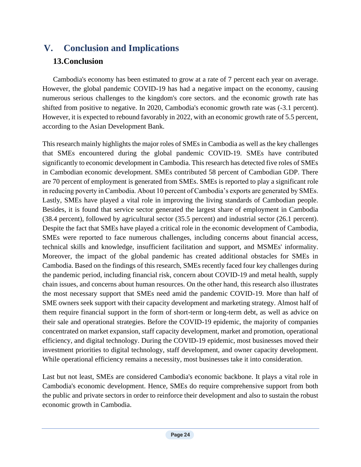# **V. Conclusion and Implications 13.Conclusion**

Cambodia's economy has been estimated to grow at a rate of 7 percent each year on average. However, the global pandemic COVID-19 has had a negative impact on the economy, causing numerous serious challenges to the kingdom's core sectors. and the economic growth rate has shifted from positive to negative. In 2020, Cambodia's economic growth rate was (-3.1 percent). However, it is expected to rebound favorably in 2022, with an economic growth rate of 5.5 percent, according to the Asian Development Bank.

This research mainly highlights the major roles of SMEs in Cambodia as well as the key challenges that SMEs encountered during the global pandemic COVID-19. SMEs have contributed significantly to economic development in Cambodia. This research has detected five roles of SMEs in Cambodian economic development. SMEs contributed 58 percent of Cambodian GDP. There are 70 percent of employment is generated from SMEs. SMEs is reported to play a significant role in reducing poverty in Cambodia. About 10 percent of Cambodia's exports are generated by SMEs. Lastly, SMEs have played a vital role in improving the living standards of Cambodian people. Besides, it is found that service sector generated the largest share of employment in Cambodia (38.4 percent), followed by agricultural sector (35.5 percent) and industrial sector (26.1 percent). Despite the fact that SMEs have played a critical role in the economic development of Cambodia, SMEs were reported to face numerous challenges, including concerns about financial access, technical skills and knowledge, insufficient facilitation and support, and MSMEs' informality. Moreover, the impact of the global pandemic has created additional obstacles for SMEs in Cambodia. Based on the findings of this research, SMEs recently faced four key challenges during the pandemic period, including financial risk, concern about COVID-19 and metal health, supply chain issues, and concerns about human resources. On the other hand, this research also illustrates the most necessary support that SMEs need amid the pandemic COVID-19. More than half of SME owners seek support with their capacity development and marketing strategy. Almost half of them require financial support in the form of short-term or long-term debt, as well as advice on their sale and operational strategies. Before the COVID-19 epidemic, the majority of companies concentrated on market expansion, staff capacity development, market and promotion, operational efficiency, and digital technology. During the COVID-19 epidemic, most businesses moved their investment priorities to digital technology, staff development, and owner capacity development. While operational efficiency remains a necessity, most businesses take it into consideration.

Last but not least, SMEs are considered Cambodia's economic backbone. It plays a vital role in Cambodia's economic development. Hence, SMEs do require comprehensive support from both the public and private sectors in order to reinforce their development and also to sustain the robust economic growth in Cambodia.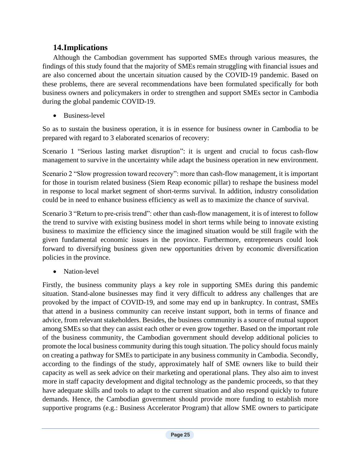## **14.Implications**

Although the Cambodian government has supported SMEs through various measures, the findings of this study found that the majority of SMEs remain struggling with financial issues and are also concerned about the uncertain situation caused by the COVID-19 pandemic. Based on these problems, there are several recommendations have been formulated specifically for both business owners and policymakers in order to strengthen and support SMEs sector in Cambodia during the global pandemic COVID-19.

• Business-level

So as to sustain the business operation, it is in essence for business owner in Cambodia to be prepared with regard to 3 elaborated scenarios of recovery:

Scenario 1 "Serious lasting market disruption": it is urgent and crucial to focus cash-flow management to survive in the uncertainty while adapt the business operation in new environment.

Scenario 2 "Slow progression toward recovery": more than cash-flow management, it is important for those in tourism related business (Siem Reap economic pillar) to reshape the business model in response to local market segment of short-terms survival. In addition, industry consolidation could be in need to enhance business efficiency as well as to maximize the chance of survival.

Scenario 3 "Return to pre-crisis trend": other than cash-flow management, it is of interest to follow the trend to survive with existing business model in short terms while being to innovate existing business to maximize the efficiency since the imagined situation would be still fragile with the given fundamental economic issues in the province. Furthermore, entrepreneurs could look forward to diversifying business given new opportunities driven by economic diversification policies in the province.

• Nation-level

Firstly, the business community plays a key role in supporting SMEs during this pandemic situation. Stand-alone businesses may find it very difficult to address any challenges that are provoked by the impact of COVID-19, and some may end up in bankruptcy. In contrast, SMEs that attend in a business community can receive instant support, both in terms of finance and advice, from relevant stakeholders. Besides, the business community is a source of mutual support among SMEs so that they can assist each other or even grow together. Based on the important role of the business community, the Cambodian government should develop additional policies to promote the local business community during this tough situation. The policy should focus mainly on creating a pathway for SMEs to participate in any business community in Cambodia. Secondly, according to the findings of the study, approximately half of SME owners like to build their capacity as well as seek advice on their marketing and operational plans. They also aim to invest more in staff capacity development and digital technology as the pandemic proceeds, so that they have adequate skills and tools to adapt to the current situation and also respond quickly to future demands. Hence, the Cambodian government should provide more funding to establish more supportive programs (e.g.: Business Accelerator Program) that allow SME owners to participate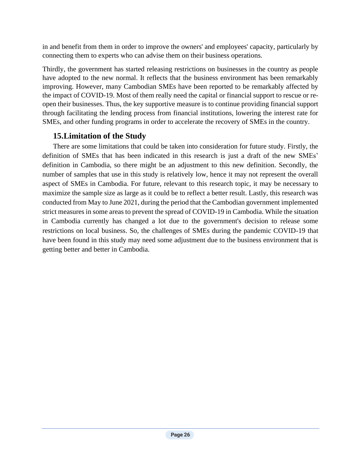in and benefit from them in order to improve the owners' and employees' capacity, particularly by connecting them to experts who can advise them on their business operations.

Thirdly, the government has started releasing restrictions on businesses in the country as people have adopted to the new normal. It reflects that the business environment has been remarkably improving. However, many Cambodian SMEs have been reported to be remarkably affected by the impact of COVID-19. Most of them really need the capital or financial support to rescue or reopen their businesses. Thus, the key supportive measure is to continue providing financial support through facilitating the lending process from financial institutions, lowering the interest rate for SMEs, and other funding programs in order to accelerate the recovery of SMEs in the country.

## **15.Limitation of the Study**

There are some limitations that could be taken into consideration for future study. Firstly, the definition of SMEs that has been indicated in this research is just a draft of the new SMEs' definition in Cambodia, so there might be an adjustment to this new definition. Secondly, the number of samples that use in this study is relatively low, hence it may not represent the overall aspect of SMEs in Cambodia. For future, relevant to this research topic, it may be necessary to maximize the sample size as large as it could be to reflect a better result. Lastly, this research was conducted from May to June 2021, during the period that the Cambodian government implemented strict measures in some areas to prevent the spread of COVID-19 in Cambodia. While the situation in Cambodia currently has changed a lot due to the government's decision to release some restrictions on local business. So, the challenges of SMEs during the pandemic COVID-19 that have been found in this study may need some adjustment due to the business environment that is getting better and better in Cambodia.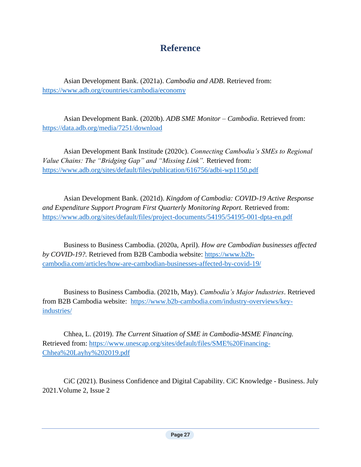# **Reference**

Asian Development Bank. (2021a). *Cambodia and ADB*. Retrieved from: <https://www.adb.org/countries/cambodia/economy>

Asian Development Bank. (2020b). *ADB SME Monitor – Cambodia*. Retrieved from: <https://data.adb.org/media/7251/download>

Asian Development Bank Institude (2020c). *Connecting Cambodia's SMEs to Regional Value Chains: The "Bridging Gap" and "Missing Link".* Retrieved from: <https://www.adb.org/sites/default/files/publication/616756/adbi-wp1150.pdf>

Asian Development Bank. (2021d). *Kingdom of Cambodia: COVID-19 Active Response and Expenditure Support Program First Quarterly Monitoring Report.* Retrieved from: https://www.adb.org/sites/default/files/project-documents/54195/54195-001-dpta-en.pdf

Business to Business Cambodia. (2020a, April). *How are Cambodian businesses affected by COVID-19?.* Retrieved from B2B Cambodia website: [https://www.b2b](https://www.b2b-cambodia.com/articles/how-are-cambodian-businesses-affected-by-covid-19/)[cambodia.com/articles/how-are-cambodian-businesses-affected-by-covid-19/](https://www.b2b-cambodia.com/articles/how-are-cambodian-businesses-affected-by-covid-19/)

Business to Business Cambodia. (2021b, May). *Cambodia's Major Industries*. Retrieved from B2B Cambodia website: [https://www.b2b-cambodia.com/industry-overviews/key](https://www.b2b-cambodia.com/industry-overviews/key-industries/)[industries/](https://www.b2b-cambodia.com/industry-overviews/key-industries/)

Chhea, L. (2019). *The Current Situation of SME in Cambodia-MSME Financing.* Retrieved from: [https://www.unescap.org/sites/default/files/SME%20Financing-](https://www.unescap.org/sites/default/files/SME%20Financing-Chhea%20Layhy%202019.pdf)[Chhea%20Layhy%202019.pdf](https://www.unescap.org/sites/default/files/SME%20Financing-Chhea%20Layhy%202019.pdf)

CiC (2021). Business Confidence and Digital Capability. CiC Knowledge - Business. July 2021.Volume 2, Issue 2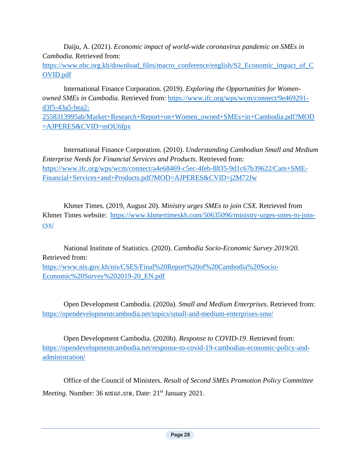Daiju, A. (2021). *Economic impact of world-wide coronavirus pandemic on SMEs in Cambodia.* Retrieved from: [https://www.nbc.org.kh/download\\_files/macro\\_conference/english/S2\\_Economic\\_impact\\_of\\_C](https://www.nbc.org.kh/download_files/macro_conference/english/S2_Economic_impact_of_COVID.pdf) [OVID.pdf](https://www.nbc.org.kh/download_files/macro_conference/english/S2_Economic_impact_of_COVID.pdf)

International Finance Corporation. (2019). *Exploring the Opportunities for Womenowned SMEs in Cambodia.* Retrieved from: [https://www.ifc.org/wps/wcm/connect/9e469291](https://www.ifc.org/wps/wcm/connect/9e469291-d3f5-43a5-bea2-2558313995ab/Market+Research+Report+on+Women_owned+SMEs+in+Cambodia.pdf?MOD=AJPERES&CVID=mOU6fpx) [d3f5-43a5-bea2-](https://www.ifc.org/wps/wcm/connect/9e469291-d3f5-43a5-bea2-2558313995ab/Market+Research+Report+on+Women_owned+SMEs+in+Cambodia.pdf?MOD=AJPERES&CVID=mOU6fpx) [2558313995ab/Market+Research+Report+on+Women\\_owned+SMEs+in+Cambodia.pdf?MOD](https://www.ifc.org/wps/wcm/connect/9e469291-d3f5-43a5-bea2-2558313995ab/Market+Research+Report+on+Women_owned+SMEs+in+Cambodia.pdf?MOD=AJPERES&CVID=mOU6fpx)

[=AJPERES&CVID=mOU6fpx](https://www.ifc.org/wps/wcm/connect/9e469291-d3f5-43a5-bea2-2558313995ab/Market+Research+Report+on+Women_owned+SMEs+in+Cambodia.pdf?MOD=AJPERES&CVID=mOU6fpx)

International Finance Corporation. (2010). *Understanding Cambodian Small and Medium Enterprise Needs for Financial Services and Products*. Retrieved from: [https://www.ifc.org/wps/wcm/connect/a4e68469-c5ec-4feb-8835-9d1c67b39622/Cam+SME-](https://www.ifc.org/wps/wcm/connect/a4e68469-c5ec-4feb-8835-9d1c67b39622/Cam+SME-Financial+Services+and+Products.pdf?MOD=AJPERES&CVID=j2M72Jw)[Financial+Services+and+Products.pdf?MOD=AJPERES&CVID=j2M72Jw](https://www.ifc.org/wps/wcm/connect/a4e68469-c5ec-4feb-8835-9d1c67b39622/Cam+SME-Financial+Services+and+Products.pdf?MOD=AJPERES&CVID=j2M72Jw)

Khmer Times. (2019, August 20). *Ministry urges SMEs to join CSX*. Retrieved from Khmer Times website: [https://www.khmertimeskh.com/50635096/ministry-urges-smes-to-join](https://www.khmertimeskh.com/50635096/ministry-urges-smes-to-join-csx/)[csx/](https://www.khmertimeskh.com/50635096/ministry-urges-smes-to-join-csx/)

National Institute of Statistics. (2020). *Cambodia Socio-Economic Survey 2019/20.* Retrieved from:

[https://www.nis.gov.kh/nis/CSES/Final%20Report%20of%20Cambodia%20Socio-](https://www.nis.gov.kh/nis/CSES/Final%20Report%20of%20Cambodia%20Socio-Economic%20Survey%202019-20_EN.pdf)[Economic%20Survey%202019-20\\_EN.pdf](https://www.nis.gov.kh/nis/CSES/Final%20Report%20of%20Cambodia%20Socio-Economic%20Survey%202019-20_EN.pdf)

Open Development Cambodia. (2020a). *Small and Medium Enterprises*. Retrieved from: <https://opendevelopmentcambodia.net/topics/small-and-medium-enterprises-sme/>

Open Development Cambodia. (2020b). *Response to COVID-19*. Retrieved from: [https://opendevelopmentcambodia.net/response-to-covid-19-cambodias-economic-policy-and](https://opendevelopmentcambodia.net/response-to-covid-19-cambodias-economic-policy-and-administration/)[administration/](https://opendevelopmentcambodia.net/response-to-covid-19-cambodias-economic-policy-and-administration/)

Office of the Council of Ministers. *Result of Second SMEs Promotion Policy Committee Meeting*. Number: 36 សជណ.ហធ, Date: 21st January 2021.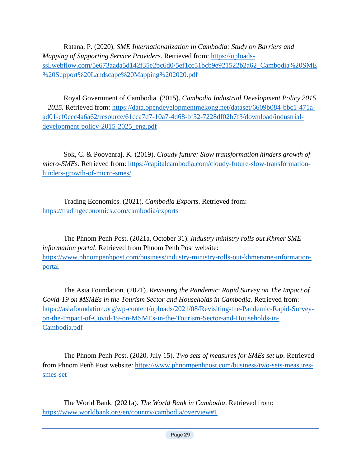Ratana, P. (2020). *SME Internationalization in Cambodia: Study on Barriers and Mapping of Supporting Service Providers*. Retrieved from: [https://uploads](https://uploads-ssl.webflow.com/5e673aada5d142f35e2bc6d0/5ef1cc51bcb9e921522b2a62_Cambodia%20SME%20Support%20Landscape%20Mapping%202020.pdf)[ssl.webflow.com/5e673aada5d142f35e2bc6d0/5ef1cc51bcb9e921522b2a62\\_Cambodia%20SME](https://uploads-ssl.webflow.com/5e673aada5d142f35e2bc6d0/5ef1cc51bcb9e921522b2a62_Cambodia%20SME%20Support%20Landscape%20Mapping%202020.pdf) [%20Support%20Landscape%20Mapping%202020.pdf](https://uploads-ssl.webflow.com/5e673aada5d142f35e2bc6d0/5ef1cc51bcb9e921522b2a62_Cambodia%20SME%20Support%20Landscape%20Mapping%202020.pdf)

Royal Government of Cambodia. (2015). *Cambodia Industrial Development Policy 2015 – 2025.* Retrieved from: [https://data.opendevelopmentmekong.net/dataset/6609b084-bbc1-471a](https://data.opendevelopmentmekong.net/dataset/6609b084-bbc1-471a-ad01-ef0ecc4a6a62/resource/61cca7d7-10a7-4d68-bf32-7228df02b7f3/download/industrial-development-policy-2015-2025_eng.pdf)[ad01-ef0ecc4a6a62/resource/61cca7d7-10a7-4d68-bf32-7228df02b7f3/download/industrial](https://data.opendevelopmentmekong.net/dataset/6609b084-bbc1-471a-ad01-ef0ecc4a6a62/resource/61cca7d7-10a7-4d68-bf32-7228df02b7f3/download/industrial-development-policy-2015-2025_eng.pdf)[development-policy-2015-2025\\_eng.pdf](https://data.opendevelopmentmekong.net/dataset/6609b084-bbc1-471a-ad01-ef0ecc4a6a62/resource/61cca7d7-10a7-4d68-bf32-7228df02b7f3/download/industrial-development-policy-2015-2025_eng.pdf)

Sok, C. & Poovenraj, K. (2019). *Cloudy future: Slow transformation hinders growth of micro-SMEs.* Retrieved from: [https://capitalcambodia.com/cloudy-future-slow-transformation](https://capitalcambodia.com/cloudy-future-slow-transformation-hinders-growth-of-micro-smes/)[hinders-growth-of-micro-smes/](https://capitalcambodia.com/cloudy-future-slow-transformation-hinders-growth-of-micro-smes/)

Trading Economics. (2021). *Cambodia Exports*. Retrieved from: <https://tradingeconomics.com/cambodia/exports>

The Phnom Penh Post. (2021a, October 31). *Industry ministry rolls out Khmer SME information portal*. Retrieved from Phnom Penh Post website: [https://www.phnompenhpost.com/business/industry-ministry-rolls-out-khmersme-information](https://www.phnompenhpost.com/business/industry-ministry-rolls-out-khmersme-information-portal)[portal](https://www.phnompenhpost.com/business/industry-ministry-rolls-out-khmersme-information-portal)

The Asia Foundation. (2021). *Revisiting the Pandemic*: *Rapid Survey on The Impact of Covid-19 on MSMEs in the Tourism Sector and Households in Cambodia*. Retrieved from: [https://asiafoundation.org/wp-content/uploads/2021/08/Revisiting-the-Pandemic-Rapid-Survey](https://asiafoundation.org/wp-content/uploads/2021/08/Revisiting-the-Pandemic-Rapid-Survey-on-the-Impact-of-Covid-19-on-MSMEs-in-the-Tourism-Sector-and-Households-in-Cambodia.pdf)[on-the-Impact-of-Covid-19-on-MSMEs-in-the-Tourism-Sector-and-Households-in-](https://asiafoundation.org/wp-content/uploads/2021/08/Revisiting-the-Pandemic-Rapid-Survey-on-the-Impact-of-Covid-19-on-MSMEs-in-the-Tourism-Sector-and-Households-in-Cambodia.pdf)[Cambodia.pdf](https://asiafoundation.org/wp-content/uploads/2021/08/Revisiting-the-Pandemic-Rapid-Survey-on-the-Impact-of-Covid-19-on-MSMEs-in-the-Tourism-Sector-and-Households-in-Cambodia.pdf)

The Phnom Penh Post. (2020, July 15). *Two sets of measures for SMEs set up*. Retrieved from Phnom Penh Post website: [https://www.phnompenhpost.com/business/two-sets-measures](https://www.phnompenhpost.com/business/two-sets-measures-smes-set)[smes-set](https://www.phnompenhpost.com/business/two-sets-measures-smes-set)

The World Bank. (2021a). *The World Bank in Cambodia*. Retrieved from: <https://www.worldbank.org/en/country/cambodia/overview#1>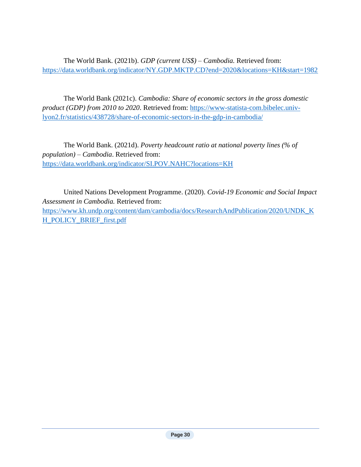The World Bank. (2021b). *GDP (current US\$) – Cambodia.* Retrieved from: <https://data.worldbank.org/indicator/NY.GDP.MKTP.CD?end=2020&locations=KH&start=1982>

The World Bank (2021c). *Cambodia: Share of economic sectors in the gross domestic product (GDP) from 2010 to 2020*. Retrieved from: [https://www-statista-com.bibelec.univ](https://www-statista-com.bibelec.univ-lyon2.fr/statistics/438728/share-of-economic-sectors-in-the-gdp-in-cambodia/)[lyon2.fr/statistics/438728/share-of-economic-sectors-in-the-gdp-in-cambodia/](https://www-statista-com.bibelec.univ-lyon2.fr/statistics/438728/share-of-economic-sectors-in-the-gdp-in-cambodia/)

The World Bank. (2021d). *Poverty headcount ratio at national poverty lines (% of population) – Cambodia*. Retrieved from: <https://data.worldbank.org/indicator/SI.POV.NAHC?locations=KH>

United Nations Development Programme. (2020). *Covid-19 Economic and Social Impact Assessment in Cambodia.* Retrieved from: [https://www.kh.undp.org/content/dam/cambodia/docs/ResearchAndPublication/2020/UNDK\\_K](https://www.kh.undp.org/content/dam/cambodia/docs/ResearchAndPublication/2020/UNDK_KH_POLICY_BRIEF_first.pdf) [H\\_POLICY\\_BRIEF\\_first.pdf](https://www.kh.undp.org/content/dam/cambodia/docs/ResearchAndPublication/2020/UNDK_KH_POLICY_BRIEF_first.pdf)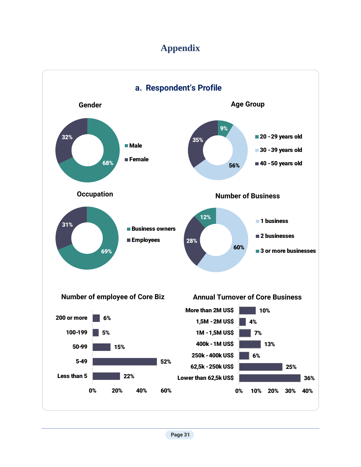# **Appendix**

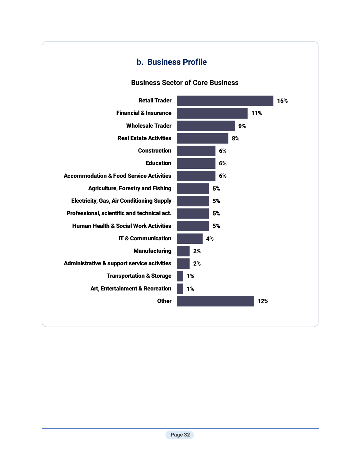